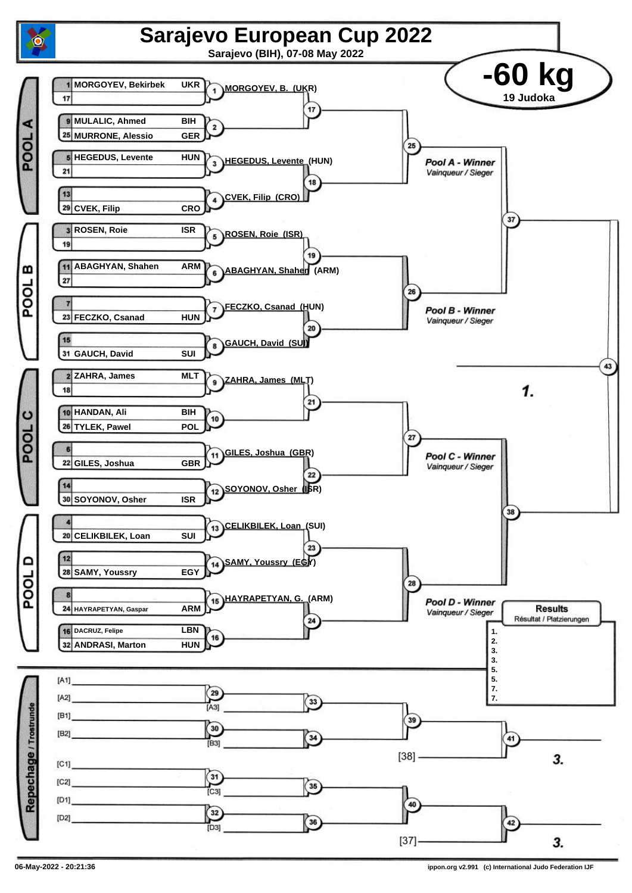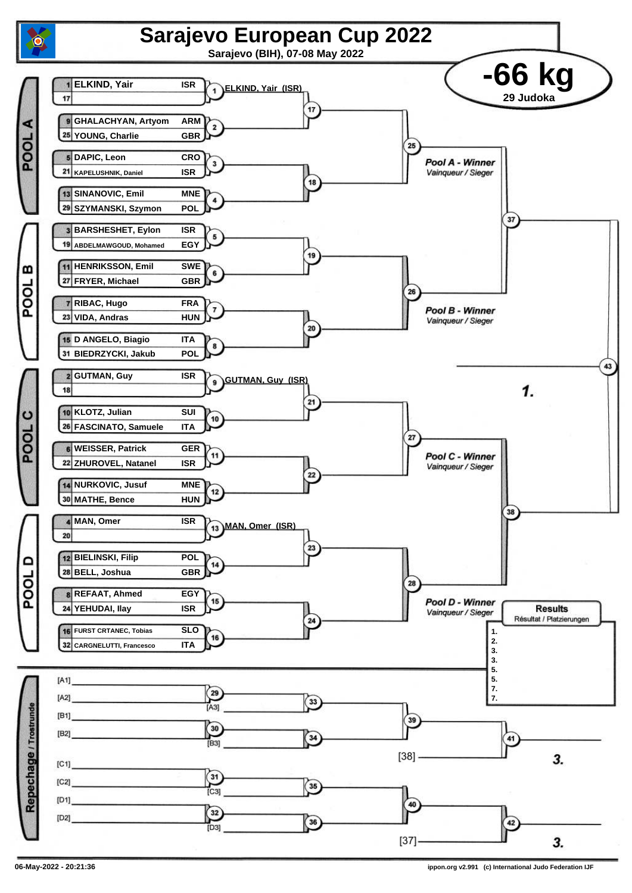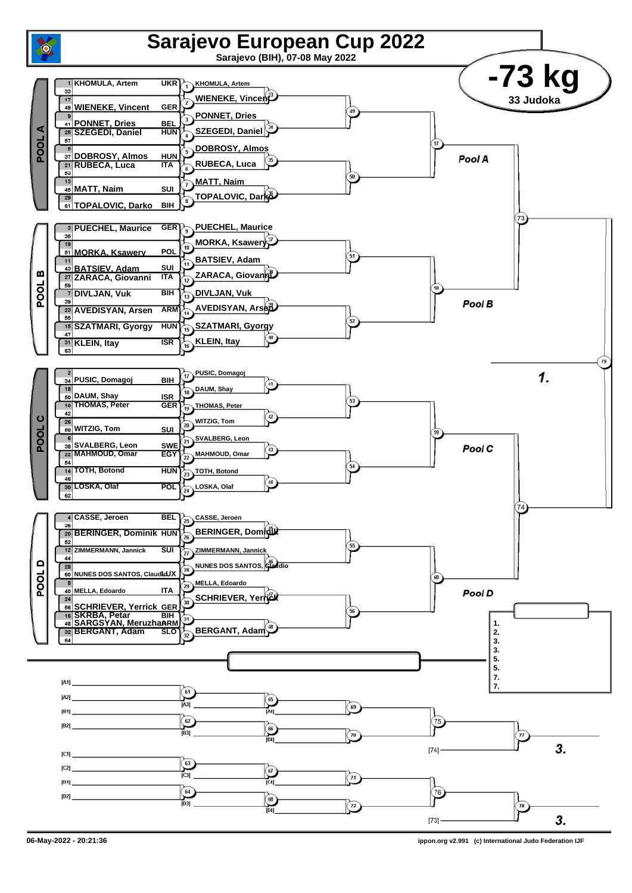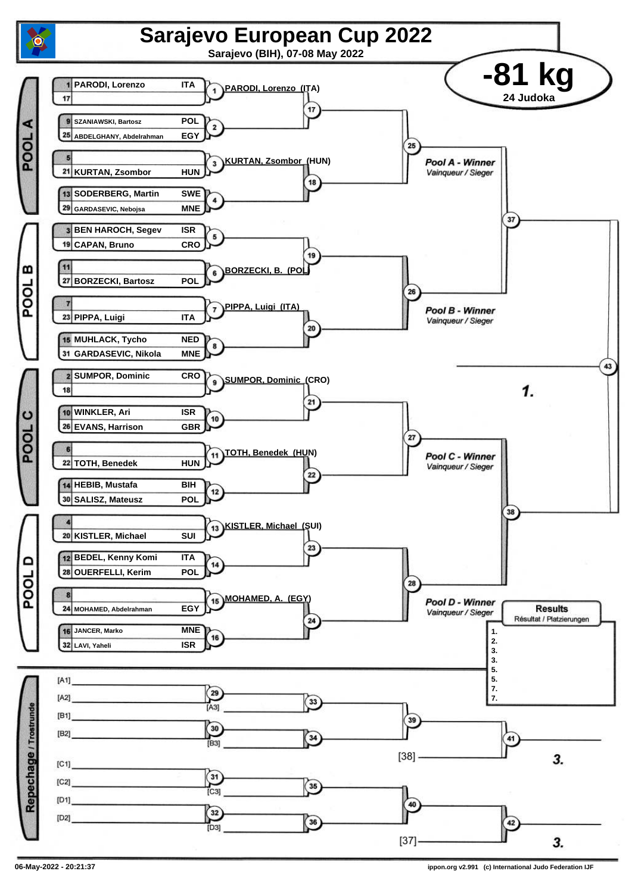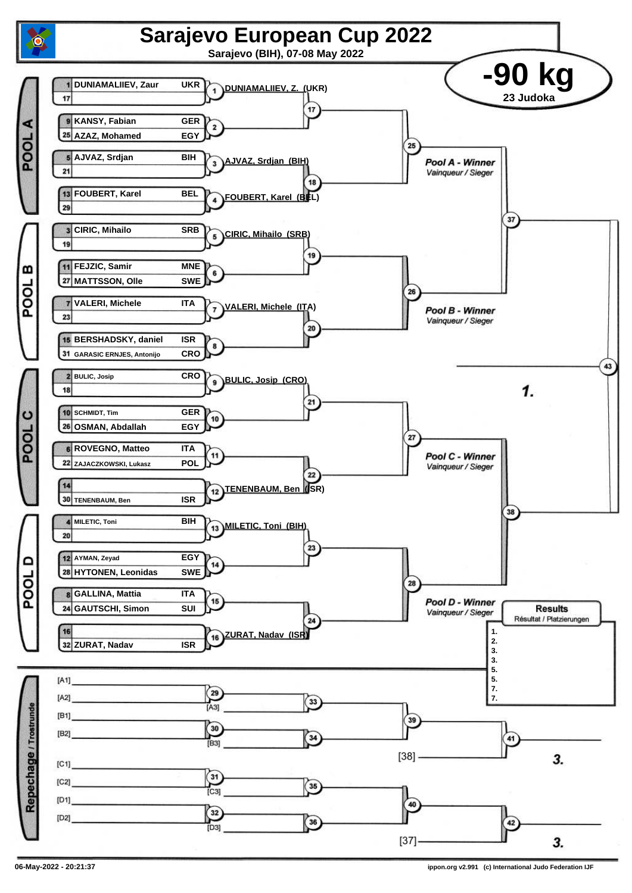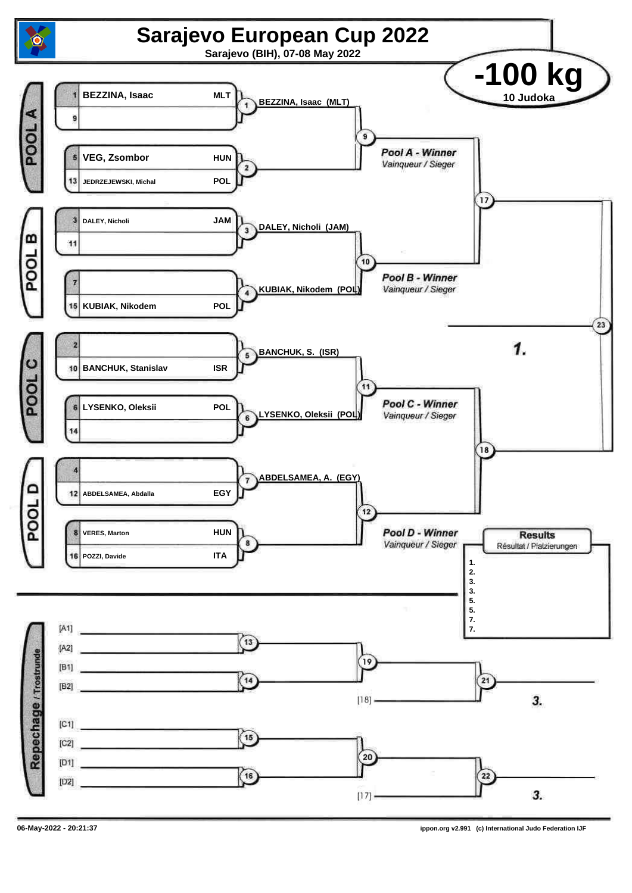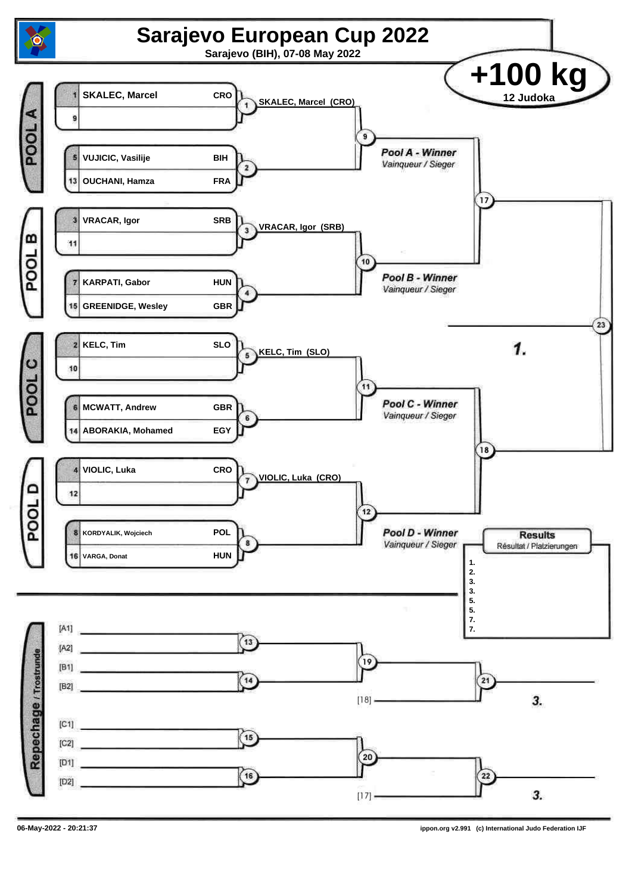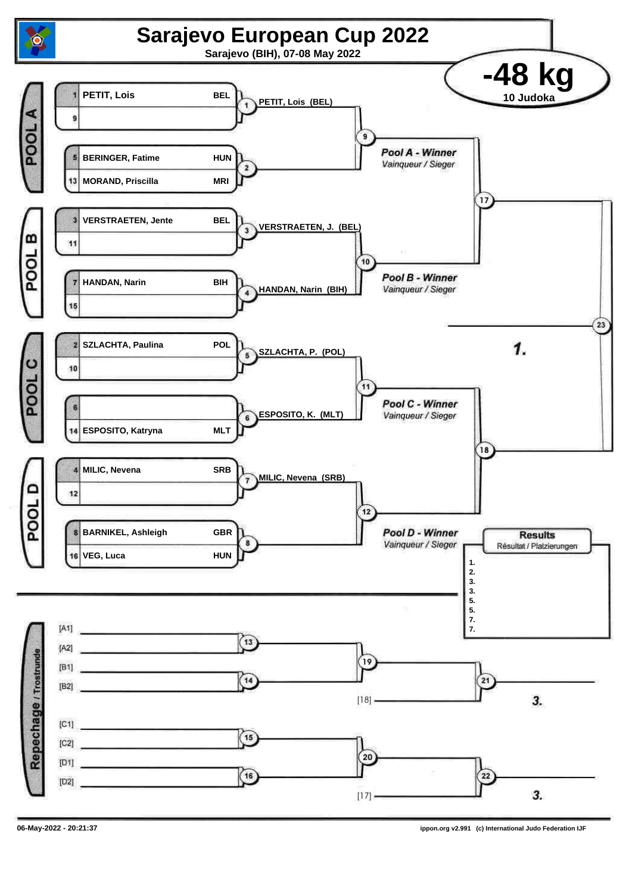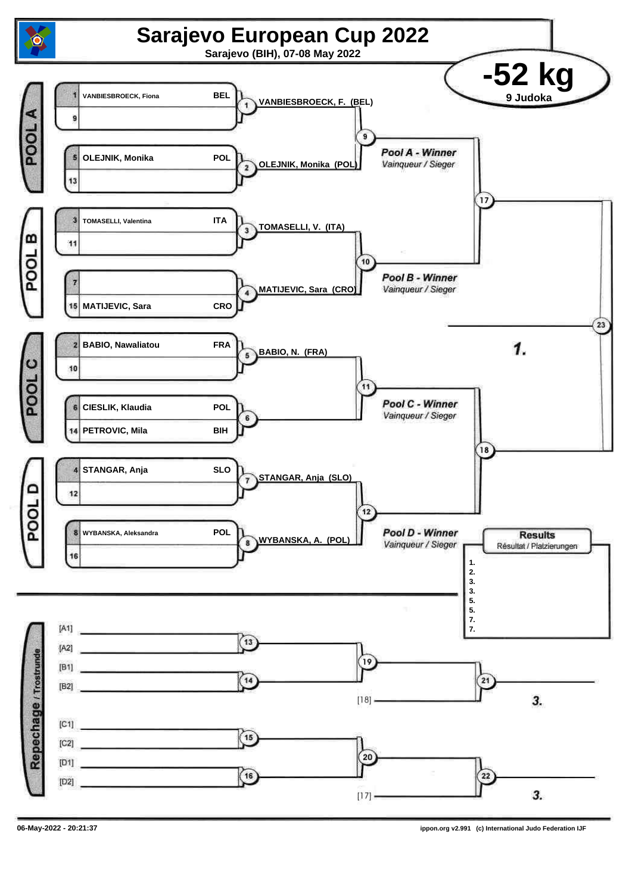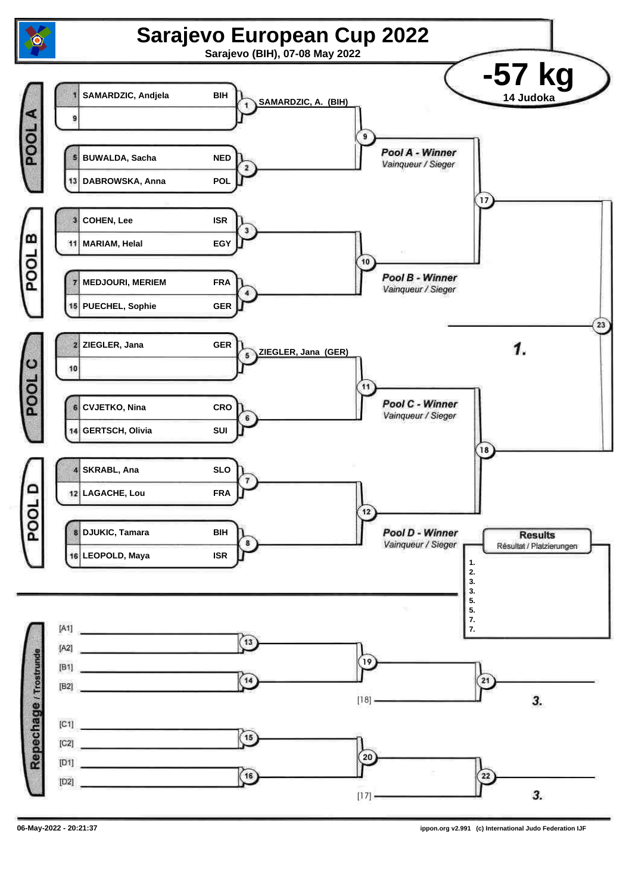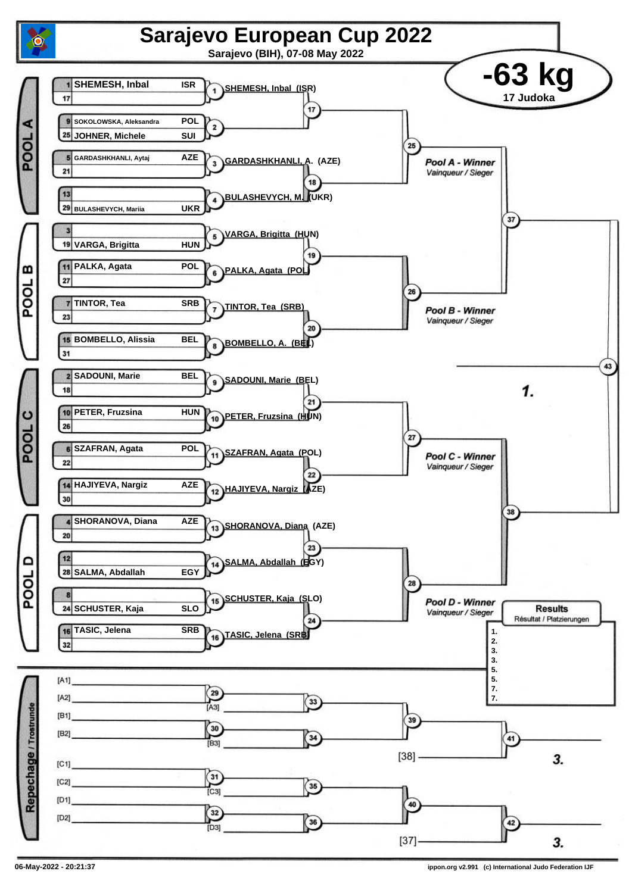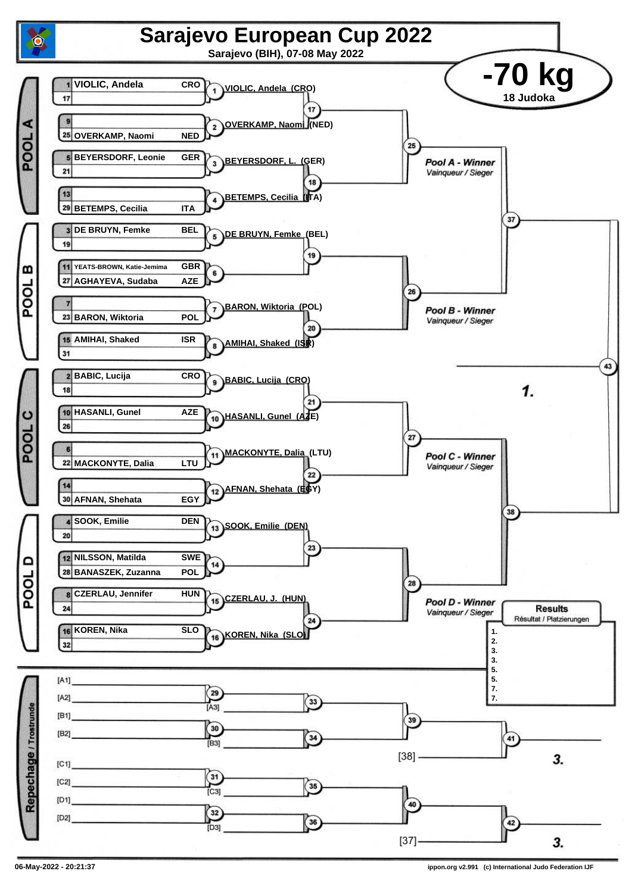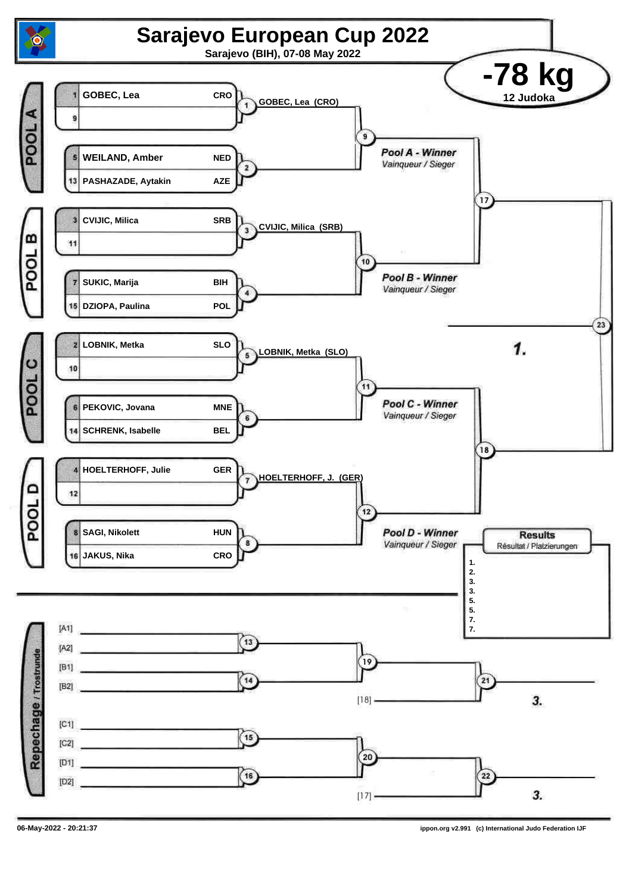